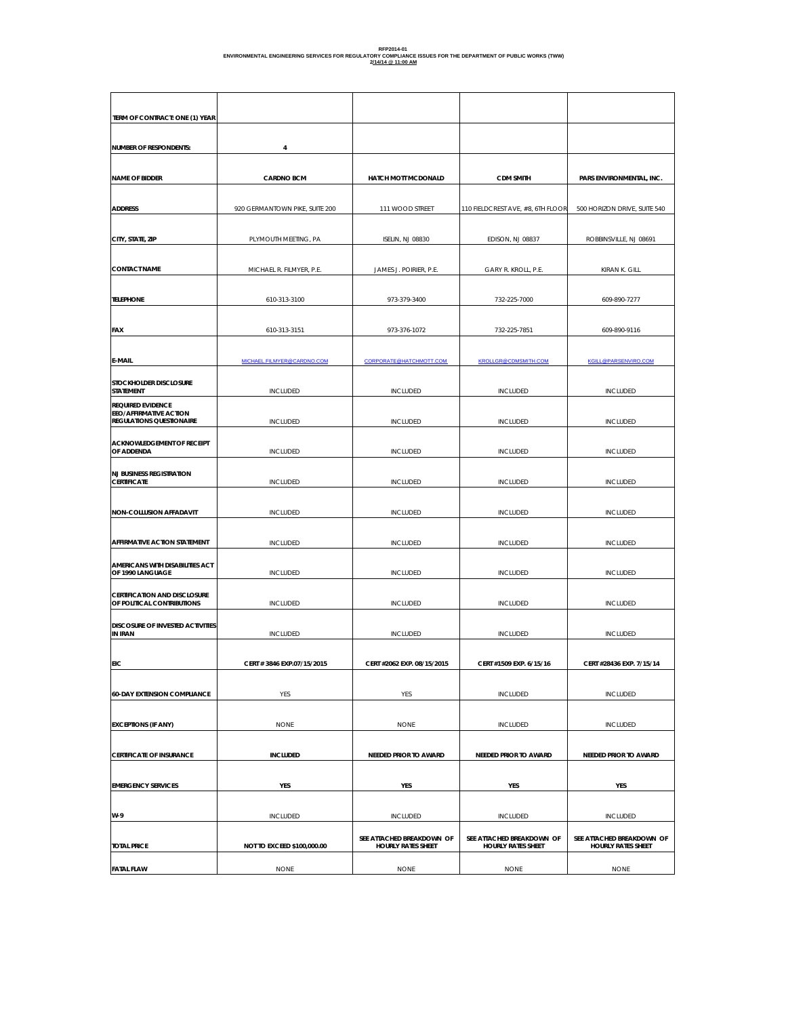| RFP2014-01                                                                                                    |
|---------------------------------------------------------------------------------------------------------------|
| ENVIRONMENTAL ENGINEERING SERVICES FOR REGULATORY COMPLIANCE ISSUES FOR THE DEPARTMENT OF PUBLIC WORKS (TWW). |
| 2/14/14 @ 11:00 AM                                                                                            |
|                                                                                                               |

| TERM OF CONTRACT: ONE (1) YEAR                                                        |                                |                                                        |                                                        |                                                        |
|---------------------------------------------------------------------------------------|--------------------------------|--------------------------------------------------------|--------------------------------------------------------|--------------------------------------------------------|
|                                                                                       |                                |                                                        |                                                        |                                                        |
| <b>NUMBER OF RESPONDENTS:</b>                                                         | 4                              |                                                        |                                                        |                                                        |
| <b>NAME OF BIDDER</b>                                                                 | <b>CARDNO BCM</b>              | HATCH MOTT MCDONALD                                    | <b>CDM SMITH</b>                                       | PARS ENVIRONMENTAL, INC.                               |
| <b>ADDRESS</b>                                                                        | 920 GERMANTOWN PIKE, SUITE 200 | 111 WOOD STREET                                        | 110 FIELDCREST AVE, #8, 6TH FLOOR                      | 500 HORIZON DRIVE, SUITE 540                           |
| CITY, STATE, ZIP                                                                      | PLYMOUTH MEETING, PA           | ISELIN, NJ 08830                                       | EDISON, NJ 08837                                       | ROBBINSVILLE, NJ 08691                                 |
| <b>CONTACT NAME</b>                                                                   | MICHAEL R. FILMYER, P.E.       | JAMES J. POIRIER, P.E.                                 | GARY R. KROLL, P.E.                                    | KIRAN K. GILL                                          |
| <b>TELEPHONE</b>                                                                      | 610-313-3100                   | 973-379-3400                                           | 732-225-7000                                           | 609-890-7277                                           |
| FAX                                                                                   | 610-313-3151                   | 973-376-1072                                           | 732-225-7851                                           | 609-890-9116                                           |
| <b>E-MAIL</b>                                                                         | MICHAEL.FILMYER@CARDNO.COM     | CORPORATE@HATCHMOTT.COM                                | <b>KROLLGR@CDMSMITH.COM</b>                            | KGILL@PARSENVIRO.COM                                   |
| STOCKHOLDER DISCLOSURE<br><b>STATEMENT</b>                                            | <b>INCLUDED</b>                | <b>INCLUDED</b>                                        | <b>INCLUDED</b>                                        | <b>INCLUDED</b>                                        |
| <b>REQUIRED EVIDENCE</b><br>EEO/AFFIRMATIVE ACTION<br><b>REGULATIONS QUESTIONAIRE</b> | <b>INCLUDED</b>                | <b>INCLUDED</b>                                        | <b>INCLUDED</b>                                        | <b>INCLUDED</b>                                        |
| <b>ACKNOWLEDGEMENT OF RECEIPT</b><br>OF ADDENDA                                       | <b>INCLUDED</b>                | <b>INCLUDED</b>                                        | <b>INCLUDED</b>                                        | <b>INCLUDED</b>                                        |
| <b>NJ BUSINESS REGISTRATION</b><br><b>CERTIFICATE</b>                                 | INCLUDED                       | <b>INCLUDED</b>                                        | <b>INCLUDED</b>                                        | <b>INCLUDED</b>                                        |
| <b>NON-COLLUSION AFFADAVIT</b>                                                        | <b>INCLUDED</b>                | <b>INCLUDED</b>                                        | <b>INCLUDED</b>                                        | <b>INCLUDED</b>                                        |
| AFFIRMATIVE ACTION STATEMENT                                                          | <b>INCLUDED</b>                | <b>INCLUDED</b>                                        | <b>INCLUDED</b>                                        | <b>INCLUDED</b>                                        |
| AMERICANS WITH DISABILITIES ACT<br>OF 1990 LANGUAGE                                   | <b>INCLUDED</b>                | <b>INCLUDED</b>                                        | <b>INCLUDED</b>                                        | <b>INCLUDED</b>                                        |
| <b>CERTIFICATION AND DISCLOSURE</b><br>OF POLITICAL CONTRIBUTIONS                     | <b>INCLUDED</b>                | <b>INCLUDED</b>                                        | <b>INCLUDED</b>                                        | <b>INCLUDED</b>                                        |
| <b>DISCOSURE OF INVESTED ACTIVITIES</b><br><b>IN IRAN</b>                             | <b>INCLUDED</b>                | <b>INCLUDED</b>                                        | <b>INCLUDED</b>                                        | <b>INCLUDED</b>                                        |
| EIC                                                                                   | CERT # 3846 EXP.07/15/2015     | CERT #2062 EXP. 08/15/2015                             | CERT #1509 EXP. 6/15/16                                | CERT #28436 EXP. 7/15/14                               |
| <b>60-DAY EXTENSION COMPLIANCE</b>                                                    | YES                            | YES                                                    | <b>INCLUDED</b>                                        | <b>INCLUDED</b>                                        |
| <b>EXCEPTIONS (IF ANY)</b>                                                            | <b>NONE</b>                    | <b>NONE</b>                                            | <b>INCLUDED</b>                                        | <b>INCLUDED</b>                                        |
|                                                                                       |                                |                                                        |                                                        |                                                        |
| <b>CERTIFICATE OF INSURANCE</b>                                                       | <b>INCLUDED</b>                | NEEDED PRIOR TO AWARD                                  | <b>NEEDED PRIOR TO AWARD</b>                           | NEEDED PRIOR TO AWARD                                  |
| <b>EMERGENCY SERVICES</b>                                                             | YES                            | YES                                                    | YES                                                    | YES                                                    |
| W-9                                                                                   | <b>INCLUDED</b>                | <b>INCLUDED</b>                                        | <b>INCLUDED</b>                                        | <b>INCLUDED</b>                                        |
| <b>TOTAL PRICE</b>                                                                    | NOT TO EXCEED \$100,000.00     | SEE ATTACHED BREAKDOWN OF<br><b>HOURLY RATES SHEET</b> | SEE ATTACHED BREAKDOWN OF<br><b>HOURLY RATES SHEET</b> | SEE ATTACHED BREAKDOWN OF<br><b>HOURLY RATES SHEET</b> |
| <b>FATAL FLAW</b>                                                                     | <b>NONE</b>                    | <b>NONE</b>                                            | <b>NONE</b>                                            | <b>NONE</b>                                            |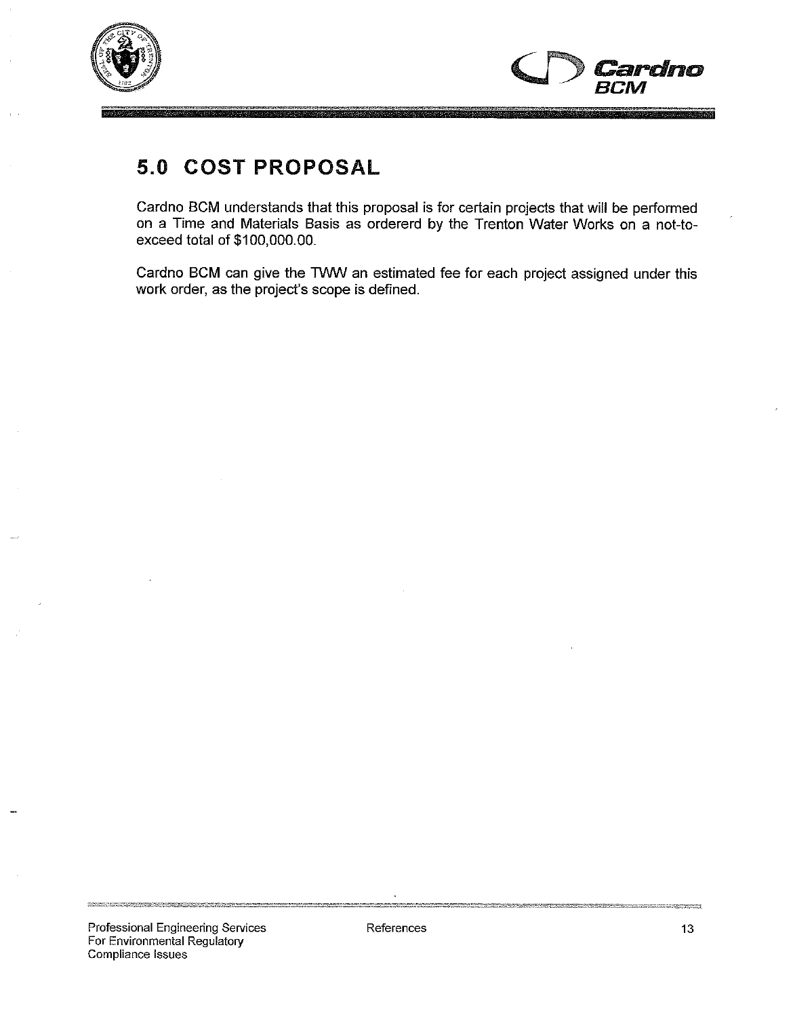



## 5.0 COST PROPOSAL

Cardno BCM understands that this proposal is for certain projects that will be performed on a Time and Materials Basis as ordererd by the Trenton Water Works on a not-toexceed total of \$100,000.00.

Cardno BCM can give the TWW an estimated fee for each project assigned under this work order, as the project's scope is defined.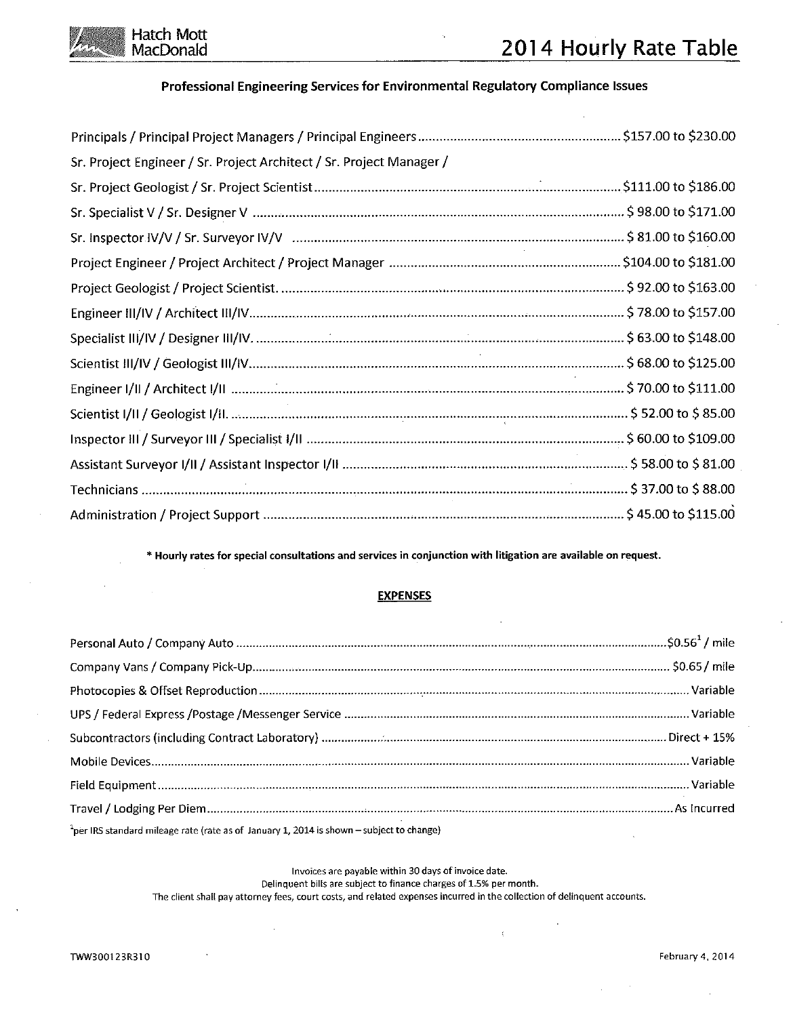

#### Professional Engineering Services for Environmental Regulatory Compliance Issues

| Sr. Project Engineer / Sr. Project Architect / Sr. Project Manager / |  |
|----------------------------------------------------------------------|--|
|                                                                      |  |
|                                                                      |  |
|                                                                      |  |
|                                                                      |  |
|                                                                      |  |
|                                                                      |  |
|                                                                      |  |
|                                                                      |  |
|                                                                      |  |
|                                                                      |  |
|                                                                      |  |
|                                                                      |  |
|                                                                      |  |
|                                                                      |  |

\* Hourly rates for special consultations and services in conjunction with litigation are available on request.

#### **EXPENSES**

| $\mathcal{L}$ . The contract of the contract of the contract of the contract of the contract of the contract of the contract of the contract of the contract of the contract of the contract of the contract of the contract of th |  |
|------------------------------------------------------------------------------------------------------------------------------------------------------------------------------------------------------------------------------------|--|

<sup>1</sup>per IRS standard mileage rate (rate as of January 1, 2014 is shown – subject to change)

Invoices are payable within 30 days of invoice date.

Delinquent bills are subject to finance charges of 1.5% per month.

The client shall pay attorney fees, court costs, and related expenses incurred in the collection of delinquent accounts.

 $\mathbf{r}$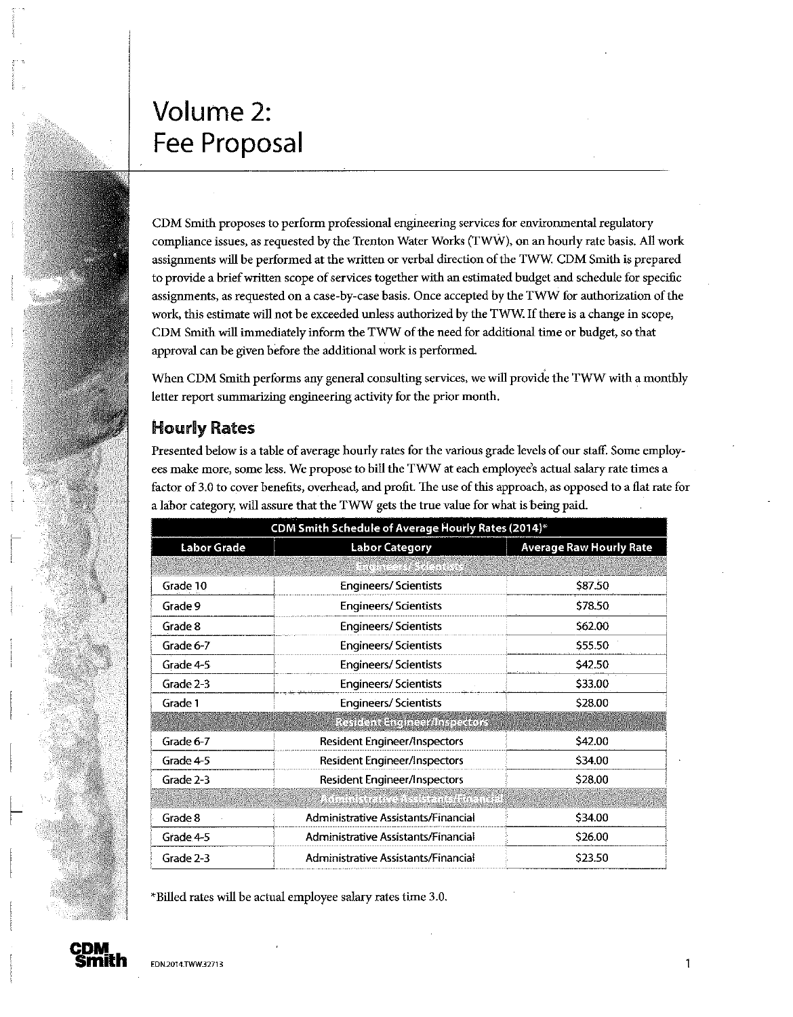# Volume 2: **Fee Proposal**

CDM Smith proposes to perform professional engineering services for environmental regulatory compliance issues, as requested by the Trenton Water Works (TWW), on an hourly rate basis. All work assignments will be performed at the written or verbal direction of the TWW. CDM Smith is prepared to provide a brief written scope of services together with an estimated budget and schedule for specific assignments, as requested on a case-by-case basis. Once accepted by the TWW for authorization of the work, this estimate will not be exceeded unless authorized by the TWW. If there is a change in scope, CDM Smith will immediately inform the TWW of the need for additional time or budget, so that approval can be given before the additional work is performed.

When CDM Smith performs any general consulting services, we will provide the TWW with a monthly letter report summarizing engineering activity for the prior month.

## **Hourly Rates**

Presented below is a table of average hourly rates for the various grade levels of our staff. Some employees make more, some less. We propose to bill the TWW at each employee's actual salary rate times a factor of 3.0 to cover benefits, overhead, and profit. The use of this approach, as opposed to a flat rate for a labor category, will assure that the TWW gets the true value for what is being paid.

| CDM Smith Schedule of Average Hourly Rates (2014)* |                                     |                                |  |  |
|----------------------------------------------------|-------------------------------------|--------------------------------|--|--|
| Labor Grade                                        | <b>Labor Category</b>               | <b>Average Raw Hourly Rate</b> |  |  |
|                                                    | en ming <i>plate</i> the fire       |                                |  |  |
| Grade 10                                           | <b>Engineers/Scientists</b>         | \$87.50                        |  |  |
| Grade 9                                            | <b>Engineers/Scientists</b>         | \$78.50                        |  |  |
| Grade 8                                            | <b>Engineers/Scientists</b>         | 562.00                         |  |  |
| Grade 6-7                                          | <b>Engineers/Scientists</b>         | \$55.50                        |  |  |
| Grade 4-5                                          | <b>Engineers/Scientists</b>         | \$42.50                        |  |  |
| Grade 2-3                                          | <b>Engineers/Scientists</b>         | \$33.00                        |  |  |
| Grade 1                                            | <b>Engineers/Scientists</b>         | \$28.00                        |  |  |
|                                                    | Resident Engineer/Inspectors        |                                |  |  |
| Grade 6-7                                          | <b>Resident Engineer/Inspectors</b> | \$42.00                        |  |  |
| Grade 4-5                                          | <b>Resident Engineer/Inspectors</b> | \$34.00                        |  |  |
| Grade 2-3                                          | <b>Resident Engineer/Inspectors</b> | \$28.00                        |  |  |
|                                                    | ET DINA ALAKSIA TALAH DILA          |                                |  |  |
| Grade 8                                            | Administrative Assistants/Financial | \$34.00                        |  |  |
| Grade 4-5                                          | Administrative Assistants/Financial | \$26.00                        |  |  |
| Grade 2-3                                          | Administrative Assistants/Financial | \$23.50                        |  |  |

\*Billed rates will be actual employee salary rates time 3.0.